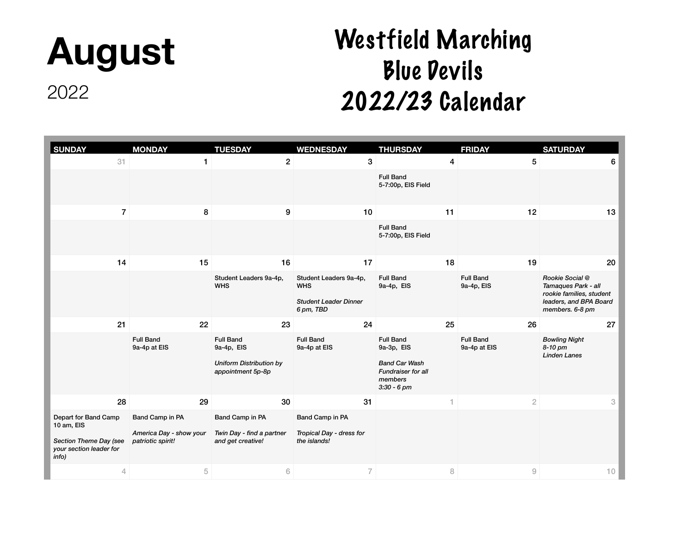### **August**

#### 2022

| <b>SUNDAY</b>                                                                                    | <b>MONDAY</b>                                                   | <b>TUESDAY</b>                                                                        | <b>WEDNESDAY</b>                                                                  | <b>THURSDAY</b>                                                                                          | <b>FRIDAY</b>                    |                | <b>SATURDAY</b>                                                                                                 |
|--------------------------------------------------------------------------------------------------|-----------------------------------------------------------------|---------------------------------------------------------------------------------------|-----------------------------------------------------------------------------------|----------------------------------------------------------------------------------------------------------|----------------------------------|----------------|-----------------------------------------------------------------------------------------------------------------|
| 31                                                                                               | 1                                                               | $\mathbf{2}$                                                                          | 3                                                                                 |                                                                                                          | $\overline{4}$                   | 5              | 6                                                                                                               |
|                                                                                                  |                                                                 |                                                                                       |                                                                                   | <b>Full Band</b><br>5-7:00p, EIS Field                                                                   |                                  |                |                                                                                                                 |
| $\overline{7}$                                                                                   | 8                                                               | 9                                                                                     | 10                                                                                | 11                                                                                                       |                                  | 12             | 13                                                                                                              |
|                                                                                                  |                                                                 |                                                                                       |                                                                                   | <b>Full Band</b><br>5-7:00p, EIS Field                                                                   |                                  |                |                                                                                                                 |
| 14                                                                                               | 15                                                              | 16                                                                                    | 17                                                                                |                                                                                                          | 18                               | 19             | 20                                                                                                              |
|                                                                                                  |                                                                 | Student Leaders 9a-4p,<br><b>WHS</b>                                                  | Student Leaders 9a-4p,<br><b>WHS</b><br><b>Student Leader Dinner</b><br>6 pm, TBD | <b>Full Band</b><br>9a-4p, EIS                                                                           | <b>Full Band</b><br>9a-4p, EIS   |                | Rookie Social @<br>Tamaques Park - all<br>rookie families, student<br>leaders, and BPA Board<br>members. 6-8 pm |
| 21                                                                                               | 22                                                              | 23                                                                                    | 24                                                                                |                                                                                                          | 25                               | 26             | 27                                                                                                              |
|                                                                                                  | <b>Full Band</b><br>9a-4p at EIS                                | <b>Full Band</b><br>9a-4p, EIS<br><b>Uniform Distribution by</b><br>appointment 5p-8p | <b>Full Band</b><br>9a-4p at EIS                                                  | <b>Full Band</b><br>9a-3p, EIS<br><b>Band Car Wash</b><br>Fundraiser for all<br>members<br>$3:30 - 6$ pm | <b>Full Band</b><br>9a-4p at EIS |                | <b>Bowling Night</b><br>8-10 pm<br><b>Linden Lanes</b>                                                          |
| 28                                                                                               | 29                                                              | 30                                                                                    | 31                                                                                |                                                                                                          | 1                                | $\overline{2}$ | $\ensuremath{\mathbf{3}}$                                                                                       |
| Depart for Band Camp<br>10 am, EIS<br>Section Theme Day (see<br>your section leader for<br>info) | Band Camp in PA<br>America Day - show your<br>patriotic spirit! | Band Camp in PA<br>Twin Day - find a partner<br>and get creative!                     | Band Camp in PA<br>Tropical Day - dress for<br>the islands!                       |                                                                                                          |                                  |                |                                                                                                                 |
| $\overline{4}$                                                                                   | 5                                                               | $6\,$                                                                                 | $\overline{7}$                                                                    |                                                                                                          | 8                                | $\mathcal G$   | 10                                                                                                              |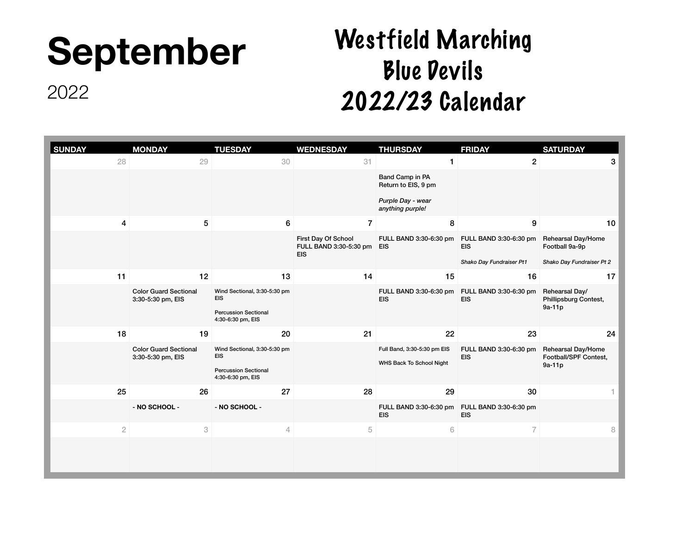# **September**

Westfield Marching Blue Devils 2022/23 Calendar

| <b>SUNDAY</b>  | <b>MONDAY</b>                                     | <b>TUESDAY</b>                                   | <b>WEDNESDAY</b>                                            | <b>THURSDAY</b>                                         | <b>FRIDAY</b>                        | <b>SATURDAY</b>                                       |
|----------------|---------------------------------------------------|--------------------------------------------------|-------------------------------------------------------------|---------------------------------------------------------|--------------------------------------|-------------------------------------------------------|
| 28             | 29                                                | 30                                               | 31                                                          |                                                         | $\overline{c}$                       | 3                                                     |
|                |                                                   |                                                  |                                                             | Band Camp in PA<br>Return to EIS, 9 pm                  |                                      |                                                       |
|                |                                                   |                                                  |                                                             | Purple Day - wear<br>anything purple!                   |                                      |                                                       |
| 4              | 5                                                 | $6\phantom{1}$                                   | $\overline{7}$                                              | 8                                                       | 9                                    | 10                                                    |
|                |                                                   |                                                  | First Day Of School<br>FULL BAND 3:30-5:30 pm<br><b>EIS</b> | FULL BAND 3:30-6:30 pm<br><b>EIS</b>                    | FULL BAND 3:30-6:30 pm<br><b>EIS</b> | <b>Rehearsal Day/Home</b><br>Football 9a-9p           |
|                |                                                   |                                                  |                                                             |                                                         | Shako Day Fundraiser Pt1             | Shako Day Fundraiser Pt 2                             |
| 11             | 12                                                | 13                                               | 14                                                          | 15                                                      | 16                                   | 17                                                    |
|                | <b>Color Guard Sectional</b><br>3:30-5:30 pm, EIS | Wind Sectional, 3:30-5:30 pm<br><b>EIS</b>       |                                                             | FULL BAND 3:30-6:30 pm<br><b>EIS</b>                    | FULL BAND 3:30-6:30 pm<br><b>EIS</b> | Rehearsal Day/<br>Phillipsburg Contest,<br>9a-11p     |
|                |                                                   | <b>Percussion Sectional</b><br>4:30-6:30 pm, EIS |                                                             |                                                         |                                      |                                                       |
| 18             | 19                                                | 20                                               | 21                                                          | 22                                                      | 23                                   | 24                                                    |
|                | <b>Color Guard Sectional</b><br>3:30-5:30 pm, EIS | Wind Sectional, 3:30-5:30 pm<br><b>EIS</b>       |                                                             | Full Band, 3:30-5:30 pm EIS<br>WHS Back To School Night | FULL BAND 3:30-6:30 pm<br><b>EIS</b> | Rehearsal Day/Home<br>Football/SPF Contest,<br>9a-11p |
|                |                                                   | <b>Percussion Sectional</b><br>4:30-6:30 pm, EIS |                                                             |                                                         |                                      |                                                       |
| 25             | 26                                                | 27                                               | 28                                                          | 29                                                      | 30                                   |                                                       |
|                | - NO SCHOOL -                                     | - NO SCHOOL -                                    |                                                             | FULL BAND 3:30-6:30 pm<br><b>EIS</b>                    | FULL BAND 3:30-6:30 pm<br><b>EIS</b> |                                                       |
| $\overline{2}$ | $\ensuremath{\mathbf{3}}$                         | $\overline{4}$                                   | $\sqrt{5}$                                                  | $\,$ 6 $\,$                                             | $\overline{7}$                       | $\, 8$                                                |
|                |                                                   |                                                  |                                                             |                                                         |                                      |                                                       |
|                |                                                   |                                                  |                                                             |                                                         |                                      |                                                       |
|                |                                                   |                                                  |                                                             |                                                         |                                      |                                                       |

2022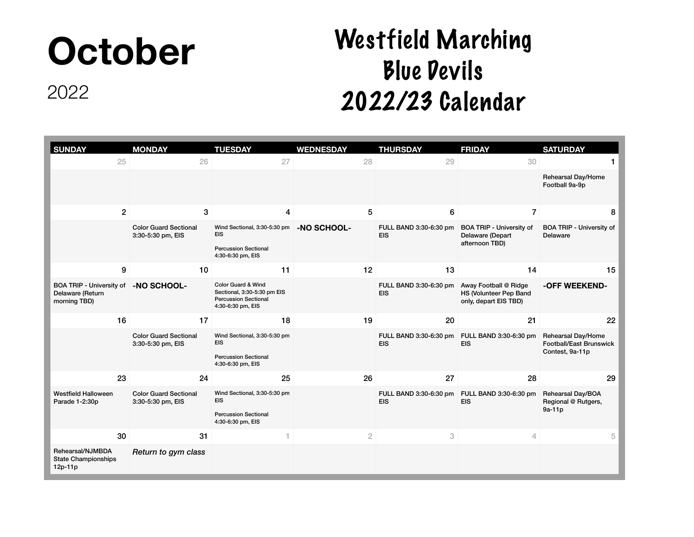# **October**

2022

| <b>SUNDAY</b>                                                       | <b>MONDAY</b>                                     | <b>TUESDAY</b>                                                                                                   | <b>WEDNESDAY</b> | <b>THURSDAY</b>                      | <b>FRIDAY</b>                                                            | <b>SATURDAY</b>                                                         |
|---------------------------------------------------------------------|---------------------------------------------------|------------------------------------------------------------------------------------------------------------------|------------------|--------------------------------------|--------------------------------------------------------------------------|-------------------------------------------------------------------------|
| 25                                                                  | 26                                                | 27                                                                                                               | 28               | 29                                   | 30                                                                       |                                                                         |
|                                                                     |                                                   |                                                                                                                  |                  |                                      |                                                                          | Rehearsal Day/Home<br>Football 9a-9p                                    |
| $\overline{2}$                                                      | 3                                                 | 4                                                                                                                | 5                | $6\phantom{1}$                       | $\overline{7}$                                                           | 8                                                                       |
|                                                                     | <b>Color Guard Sectional</b><br>3:30-5:30 pm, EIS | Wind Sectional, 3:30-5:30 pm<br><b>EIS</b><br><b>Percussion Sectional</b><br>4:30-6:30 pm, EIS                   | -NO SCHOOL-      | FULL BAND 3:30-6:30 pm<br><b>EIS</b> | <b>BOA TRIP - University of</b><br>Delaware (Depart<br>afternoon TBD)    | <b>BOA TRIP - University of</b><br>Delaware                             |
| 9                                                                   | 10                                                | 11                                                                                                               | 12               | 13                                   | 14                                                                       | 15                                                                      |
| <b>BOA TRIP - University of</b><br>Delaware (Return<br>morning TBD) | -NO SCHOOL-                                       | <b>Color Guard &amp; Wind</b><br>Sectional, 3:30-5:30 pm EIS<br><b>Percussion Sectional</b><br>4:30-6:30 pm, EIS |                  | FULL BAND 3:30-6:30 pm<br><b>EIS</b> | Away Football @ Ridge<br>HS (Volunteer Pep Band<br>only, depart EIS TBD) | -OFF WEEKEND-                                                           |
| 16                                                                  | 17                                                | 18                                                                                                               | 19               | 20                                   | 21                                                                       | 22                                                                      |
|                                                                     | <b>Color Guard Sectional</b><br>3:30-5:30 pm, EIS | Wind Sectional, 3:30-5:30 pm<br><b>EIS</b><br><b>Percussion Sectional</b><br>4:30-6:30 pm, EIS                   |                  | FULL BAND 3:30-6:30 pm<br><b>EIS</b> | FULL BAND 3:30-6:30 pm<br><b>EIS</b>                                     | Rehearsal Day/Home<br><b>Football/East Brunswick</b><br>Contest, 9a-11p |
| 23                                                                  | 24                                                | 25                                                                                                               | 26               | 27                                   | 28                                                                       | 29                                                                      |
| <b>Westfield Halloween</b><br>Parade 1-2:30p                        | <b>Color Guard Sectional</b><br>3:30-5:30 pm, EIS | Wind Sectional, 3:30-5:30 pm<br><b>EIS</b><br><b>Percussion Sectional</b><br>4:30-6:30 pm, EIS                   |                  | FULL BAND 3:30-6:30 pm<br><b>EIS</b> | FULL BAND 3:30-6:30 pm<br><b>EIS</b>                                     | Rehearsal Day/BOA<br>Regional @ Rutgers,<br>$9a-11p$                    |
| 30                                                                  | 31                                                | 1                                                                                                                | $\overline{2}$   | 3                                    | $\overline{4}$                                                           | 5                                                                       |
| Rehearsal/NJMBDA<br><b>State Championships</b><br>$12p-11p$         | Return to gym class                               |                                                                                                                  |                  |                                      |                                                                          |                                                                         |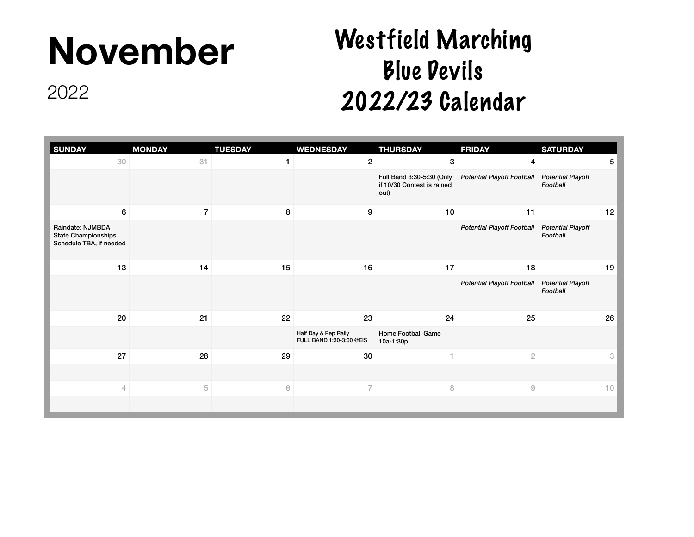# **November**

2022

| <b>SUNDAY</b>                                                       | <b>MONDAY</b>  | <b>TUESDAY</b> | <b>WEDNESDAY</b>                                 | <b>THURSDAY</b>                                                 | <b>FRIDAY</b>                                | <b>SATURDAY</b>           |
|---------------------------------------------------------------------|----------------|----------------|--------------------------------------------------|-----------------------------------------------------------------|----------------------------------------------|---------------------------|
| 30                                                                  | 31             |                | $\mathbf{2}$                                     | $\mathbf{3}$                                                    | 4                                            | $5\phantom{.0}$           |
|                                                                     |                |                |                                                  | Full Band 3:30-5:30 (Only<br>if 10/30 Contest is rained<br>out) | Potential Playoff Football Potential Playoff | Football                  |
| 6                                                                   | $\overline{7}$ | 8              | 9                                                | 10                                                              | 11                                           | 12                        |
| Raindate: NJMBDA<br>State Championships.<br>Schedule TBA, if needed |                |                |                                                  |                                                                 | Potential Playoff Football Potential Playoff | Football                  |
| 13                                                                  | 14             | 15             | 16                                               | 17                                                              | 18                                           | 19                        |
|                                                                     |                |                |                                                  |                                                                 | Potential Playoff Football Potential Playoff | Football                  |
| 20                                                                  | 21             | 22             | 23                                               | 24                                                              | 25                                           | 26                        |
|                                                                     |                |                | Half Day & Pep Rally<br>FULL BAND 1:30-3:00 @EIS | Home Football Game<br>10a-1:30p                                 |                                              |                           |
| 27                                                                  | 28             | 29             | 30                                               | 1                                                               | $\sqrt{2}$                                   | $\ensuremath{\mathbf{3}}$ |
|                                                                     |                |                |                                                  |                                                                 |                                              |                           |
| 4                                                                   | 5              | $\,$ $\,$ $\,$ | $\overline{7}$                                   | $\, 8$                                                          | $\mathcal G$                                 | 10                        |
|                                                                     |                |                |                                                  |                                                                 |                                              |                           |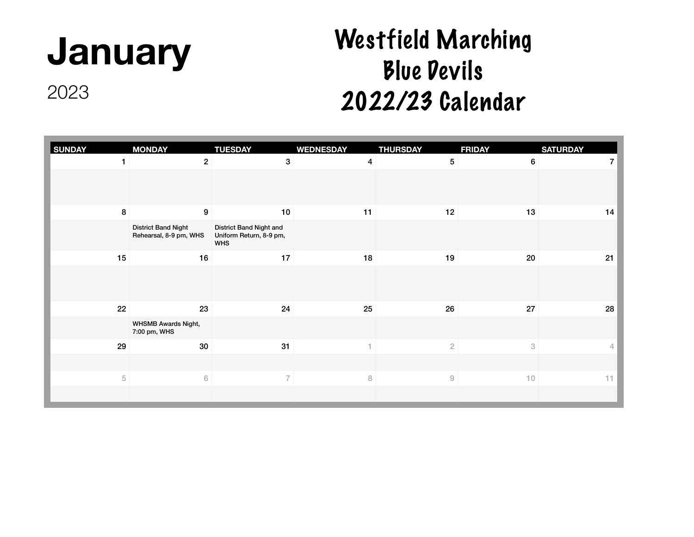# **January**

2023

| <b>SUNDAY</b> | <b>MONDAY</b>                                        | <b>TUESDAY</b>                                                   | <b>WEDNESDAY</b>        | <b>THURSDAY</b> | <b>FRIDAY</b> | <b>SATURDAY</b>      |
|---------------|------------------------------------------------------|------------------------------------------------------------------|-------------------------|-----------------|---------------|----------------------|
|               | $\overline{2}$                                       | $\mathbf 3$                                                      | $\overline{\mathbf{4}}$ | 5               | 6             | $\overline{7}$       |
|               |                                                      |                                                                  |                         |                 |               |                      |
| 8             | $\boldsymbol{9}$                                     | 10                                                               | 11                      | 12              | 13            | 14                   |
|               | <b>District Band Night</b><br>Rehearsal, 8-9 pm, WHS | District Band Night and<br>Uniform Return, 8-9 pm,<br><b>WHS</b> |                         |                 |               |                      |
| 15            | 16                                                   | 17                                                               | 18                      | 19              | 20            | 21                   |
|               |                                                      |                                                                  |                         |                 |               |                      |
| 22            | 23                                                   | 24                                                               | 25                      | 26              | 27            | 28                   |
|               | <b>WHSMB Awards Night,</b><br>7:00 pm, WHS           |                                                                  |                         |                 |               |                      |
| 29            | 30                                                   | 31                                                               | 1.                      | $\sqrt{2}$      | 3             | $\sqrt{\phantom{a}}$ |
|               |                                                      |                                                                  |                         |                 |               |                      |
| 5             | $6\,$                                                | $\overline{7}$                                                   | 8                       | $\mathcal G$    | 10            | 11                   |
|               |                                                      |                                                                  |                         |                 |               |                      |